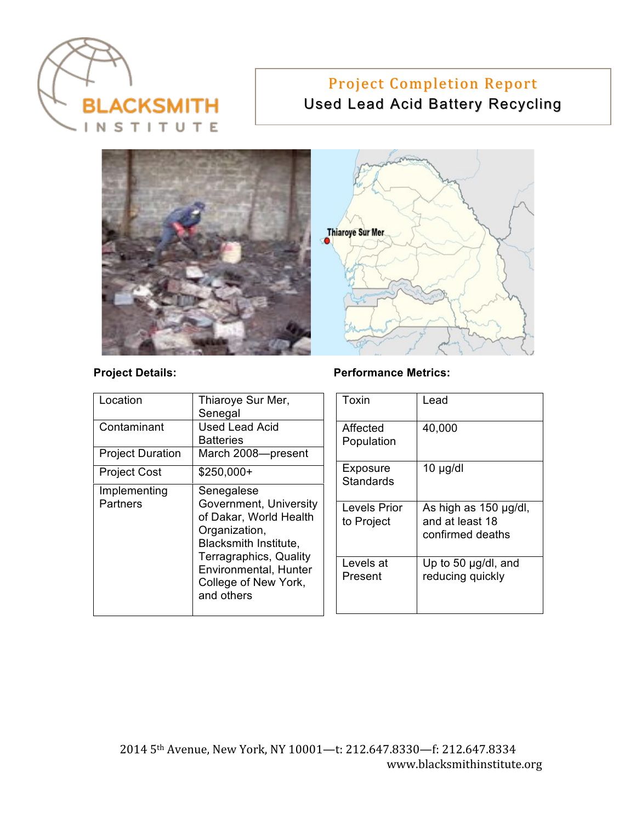

# Project Completion Report Used Lead Acid Battery Recycling



#### Project Details: **Project Details:** Performance Metrics:

| Location                        | Thiaroye Sur Mer,<br>Senegal                                                                                                                                                                      |  | Toxin                        | Lead                                                         |
|---------------------------------|---------------------------------------------------------------------------------------------------------------------------------------------------------------------------------------------------|--|------------------------------|--------------------------------------------------------------|
| Contaminant                     | <b>Used Lead Acid</b><br><b>Batteries</b>                                                                                                                                                         |  | Affected<br>Population       | 40,000                                                       |
| <b>Project Duration</b>         | March 2008-present                                                                                                                                                                                |  |                              |                                                              |
| <b>Project Cost</b>             | $$250,000+$                                                                                                                                                                                       |  | Exposure<br><b>Standards</b> | $10 \mu g/dl$                                                |
| Implementing<br><b>Partners</b> | Senegalese<br>Government, University<br>of Dakar, World Health<br>Organization,<br>Blacksmith Institute,<br>Terragraphics, Quality<br>Environmental, Hunter<br>College of New York,<br>and others |  |                              |                                                              |
|                                 |                                                                                                                                                                                                   |  | Levels Prior<br>to Project   | As high as 150 µg/dl,<br>and at least 18<br>confirmed deaths |
|                                 |                                                                                                                                                                                                   |  | Levels at<br>Present         | Up to 50 $\mu$ g/dl, and<br>reducing quickly                 |
|                                 |                                                                                                                                                                                                   |  |                              |                                                              |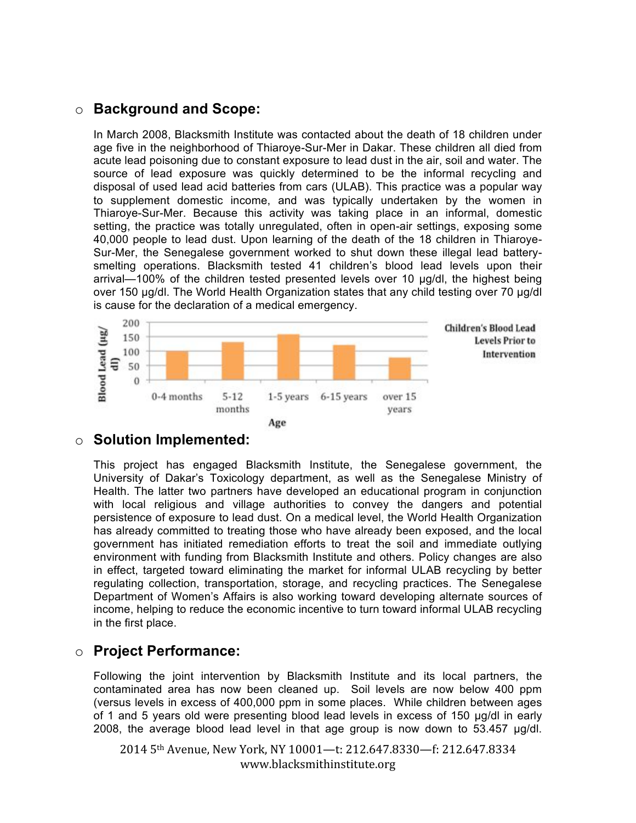#### o **Background and Scope:**

In March 2008, Blacksmith Institute was contacted about the death of 18 children under age five in the neighborhood of Thiaroye-Sur-Mer in Dakar. These children all died from acute lead poisoning due to constant exposure to lead dust in the air, soil and water. The source of lead exposure was quickly determined to be the informal recycling and disposal of used lead acid batteries from cars (ULAB). This practice was a popular way to supplement domestic income, and was typically undertaken by the women in Thiaroye-Sur-Mer. Because this activity was taking place in an informal, domestic setting, the practice was totally unregulated, often in open-air settings, exposing some 40,000 people to lead dust. Upon learning of the death of the 18 children in Thiaroye-Sur-Mer, the Senegalese government worked to shut down these illegal lead batterysmelting operations. Blacksmith tested 41 children's blood lead levels upon their arrival—100% of the children tested presented levels over 10  $\mu$ g/dl, the highest being over 150 ug/dl. The World Health Organization states that any child testing over 70 ug/dl is cause for the declaration of a medical emergency.



# o **Solution Implemented:**

This project has engaged Blacksmith Institute, the Senegalese government, the University of Dakar's Toxicology department, as well as the Senegalese Ministry of Health. The latter two partners have developed an educational program in conjunction with local religious and village authorities to convey the dangers and potential persistence of exposure to lead dust. On a medical level, the World Health Organization has already committed to treating those who have already been exposed, and the local government has initiated remediation efforts to treat the soil and immediate outlying environment with funding from Blacksmith Institute and others. Policy changes are also in effect, targeted toward eliminating the market for informal ULAB recycling by better regulating collection, transportation, storage, and recycling practices. The Senegalese Department of Women's Affairs is also working toward developing alternate sources of income, helping to reduce the economic incentive to turn toward informal ULAB recycling in the first place.

# o **Project Performance:**

Following the joint intervention by Blacksmith Institute and its local partners, the contaminated area has now been cleaned up. Soil levels are now below 400 ppm (versus levels in excess of 400,000 ppm in some places. While children between ages of 1 and 5 years old were presenting blood lead levels in excess of 150  $\mu$ g/dl in early 2008, the average blood lead level in that age group is now down to  $53.457 \mu g/dl$ .

2014 5<sup>th</sup> Avenue, New York, NY 10001-t: 212.647.8330-f: 212.647.8334 www.blacksmithinstitute.org